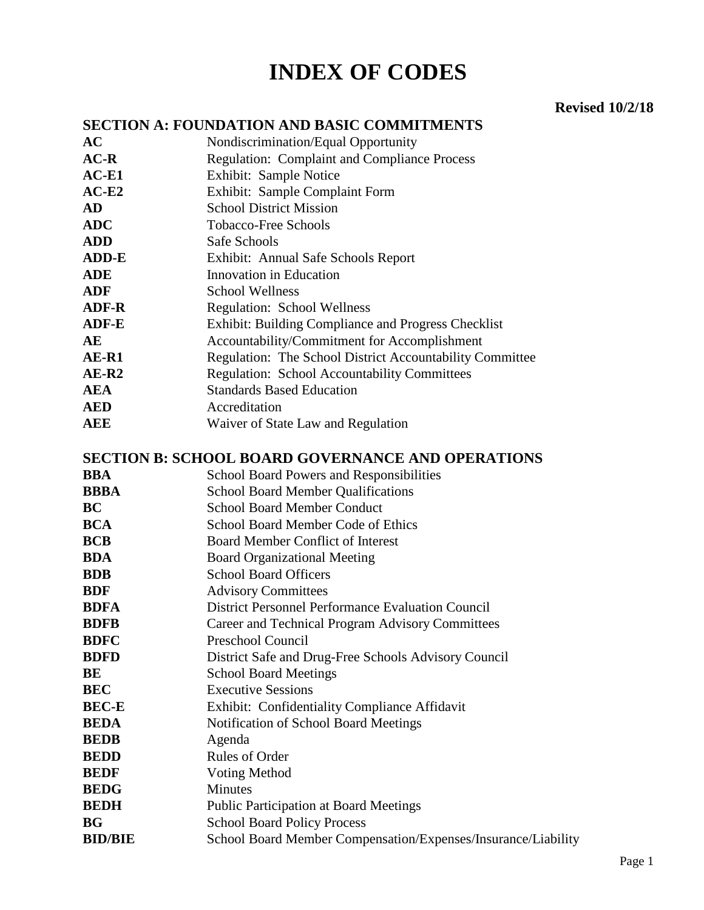# **INDEX OF CODES**

#### **Revised 10/2/18**

#### **SECTION A: FOUNDATION AND BASIC COMMITMENTS**

**AC** Nondiscrimination/Equal Opportunity AC-R Regulation: Complaint and Compliance Process **AC-E1** Exhibit: Sample Notice **AC-E2** Exhibit: Sample Complaint Form **AD** School District Mission **ADC** Tobacco-Free Schools **ADD** Safe Schools **ADD-E** Exhibit: Annual Safe Schools Report **ADE** Innovation in Education **ADF** School Wellness **ADF-R** Regulation: School Wellness **ADF-E** Exhibit: Building Compliance and Progress Checklist **AE** Accountability/Commitment for Accomplishment AE-R1 Regulation: The School District Accountability Committee AE-R2 Regulation: School Accountability Committees **AEA** Standards Based Education **AED** Accreditation **AEE** Waiver of State Law and Regulation

#### **SECTION B: SCHOOL BOARD GOVERNANCE AND OPERATIONS**

- **BBA** School Board Powers and Responsibilities
- **BBBA** School Board Member Qualifications
- **BC** School Board Member Conduct
- **BCA** School Board Member Code of Ethics
- **BCB** Board Member Conflict of Interest
- **BDA** Board Organizational Meeting
- **BDB** School Board Officers
- **BDF** Advisory Committees
- **BDFA** District Personnel Performance Evaluation Council
- **BDFB** Career and Technical Program Advisory Committees
- **BDFC** Preschool Council
- **BDFD** District Safe and Drug-Free Schools Advisory Council
- **BE** School Board Meetings
- **BEC** Executive Sessions
- **BEC-E** Exhibit: Confidentiality Compliance Affidavit
- **BEDA** Notification of School Board Meetings
- **BEDB** Agenda
- **BEDD** Rules of Order
- **BEDF** Voting Method
- **BEDG** Minutes
- **BEDH** Public Participation at Board Meetings
- **BG** School Board Policy Process
- **BID/BIE** School Board Member Compensation/Expenses/Insurance/Liability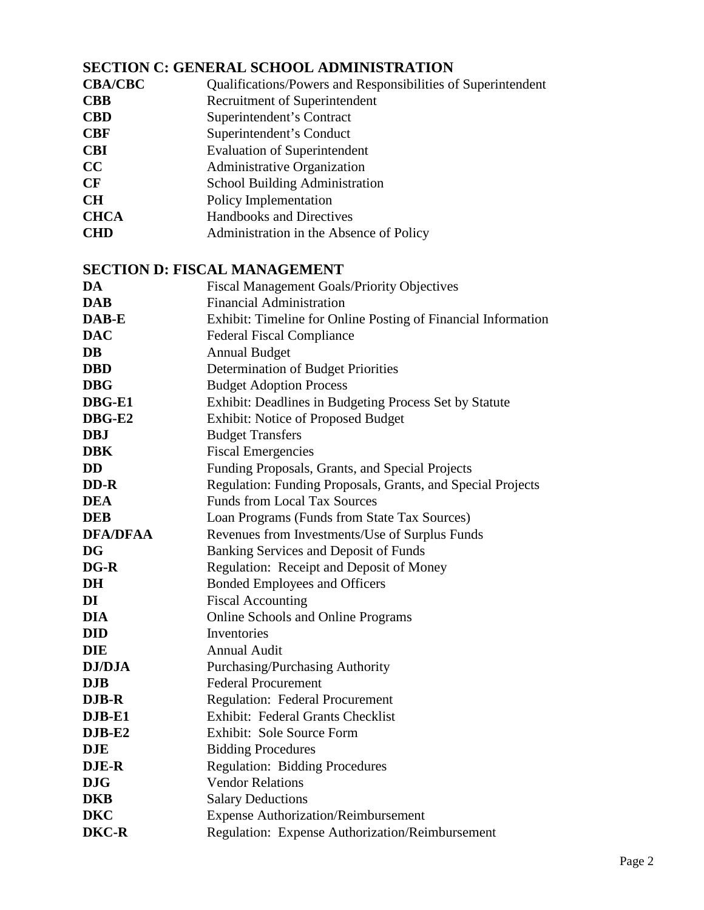#### **SECTION C: GENERAL SCHOOL ADMINISTRATION**

| <b>CBA/CBC</b> | Qualifications/Powers and Responsibilities of Superintendent |  |  |
|----------------|--------------------------------------------------------------|--|--|
|----------------|--------------------------------------------------------------|--|--|

- **CBB** Recruitment of Superintendent
- 
- **CBD** Superintendent's Contract<br> **CBF** Superintendent's Conduct **Superintendent's Conduct**
- **CBI** Evaluation of Superintendent
- **CC** Administrative Organization
- **CF** School Building Administration
- **CH** Policy Implementation<br> **CHCA** Handbooks and Directi
- Handbooks and Directives
- **CHD** Administration in the Absence of Policy

#### **SECTION D: FISCAL MANAGEMENT**

| DA              | Fiscal Management Goals/Priority Objectives                   |
|-----------------|---------------------------------------------------------------|
| <b>DAB</b>      | <b>Financial Administration</b>                               |
| DAB-E           | Exhibit: Timeline for Online Posting of Financial Information |
| <b>DAC</b>      | <b>Federal Fiscal Compliance</b>                              |
| <b>DB</b>       | <b>Annual Budget</b>                                          |
| <b>DBD</b>      | Determination of Budget Priorities                            |
| <b>DBG</b>      | <b>Budget Adoption Process</b>                                |
| DBG-E1          | Exhibit: Deadlines in Budgeting Process Set by Statute        |
| DBG-E2          | <b>Exhibit: Notice of Proposed Budget</b>                     |
| <b>DBJ</b>      | <b>Budget Transfers</b>                                       |
| <b>DBK</b>      | <b>Fiscal Emergencies</b>                                     |
| <b>DD</b>       | Funding Proposals, Grants, and Special Projects               |
| DD-R            | Regulation: Funding Proposals, Grants, and Special Projects   |
| <b>DEA</b>      | <b>Funds from Local Tax Sources</b>                           |
| <b>DEB</b>      | Loan Programs (Funds from State Tax Sources)                  |
| <b>DFA/DFAA</b> | Revenues from Investments/Use of Surplus Funds                |
| <b>DG</b>       | Banking Services and Deposit of Funds                         |
| DG-R            | Regulation: Receipt and Deposit of Money                      |
| DH              | <b>Bonded Employees and Officers</b>                          |
| DI              | <b>Fiscal Accounting</b>                                      |
| <b>DIA</b>      | Online Schools and Online Programs                            |
| <b>DID</b>      | Inventories                                                   |
| <b>DIE</b>      | <b>Annual Audit</b>                                           |
| <b>DJ/DJA</b>   | Purchasing/Purchasing Authority                               |
| <b>DJB</b>      | <b>Federal Procurement</b>                                    |
| DJB-R           | <b>Regulation: Federal Procurement</b>                        |
| DJB-E1          | <b>Exhibit: Federal Grants Checklist</b>                      |
| $DJB-E2$        | Exhibit: Sole Source Form                                     |
| <b>DJE</b>      | <b>Bidding Procedures</b>                                     |
| <b>DJE-R</b>    | <b>Regulation: Bidding Procedures</b>                         |
| <b>DJG</b>      | <b>Vendor Relations</b>                                       |
| <b>DKB</b>      | <b>Salary Deductions</b>                                      |
| <b>DKC</b>      | <b>Expense Authorization/Reimbursement</b>                    |
| <b>DKC-R</b>    | Regulation: Expense Authorization/Reimbursement               |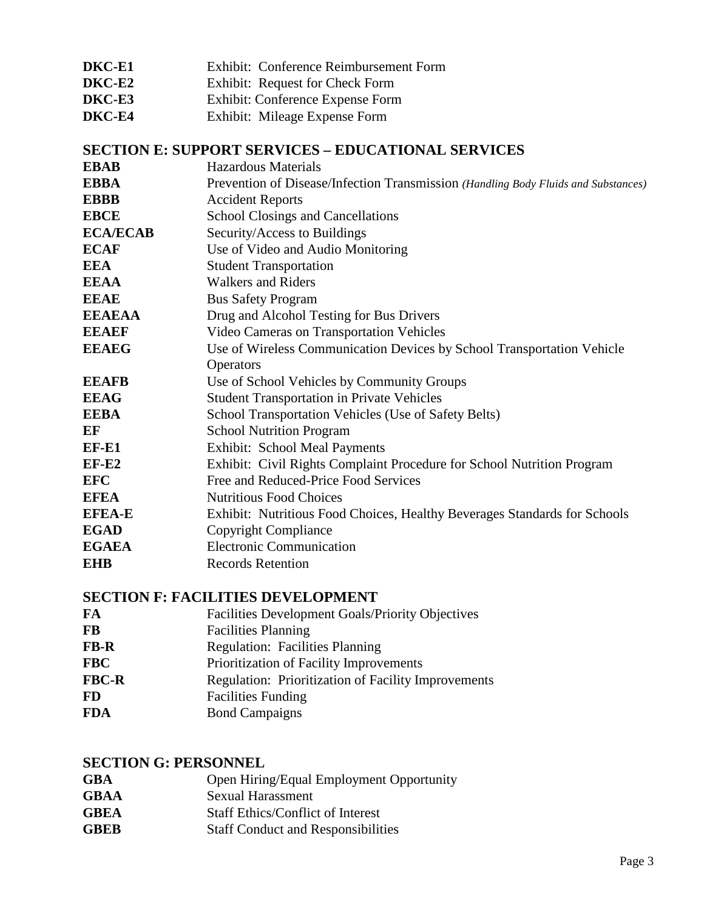- **DKC-E1** Exhibit: Conference Reimbursement Form
- **DKC-E2** Exhibit: Request for Check Form
- **DKC-E3** Exhibit: Conference Expense Form
- **DKC-E4** Exhibit: Mileage Expense Form

#### **SECTION E: SUPPORT SERVICES – EDUCATIONAL SERVICES**

| <b>EBAB</b>     | <b>Hazardous Materials</b>                                                         |
|-----------------|------------------------------------------------------------------------------------|
| <b>EBBA</b>     | Prevention of Disease/Infection Transmission (Handling Body Fluids and Substances) |
| <b>EBBB</b>     | <b>Accident Reports</b>                                                            |
| <b>EBCE</b>     | <b>School Closings and Cancellations</b>                                           |
| <b>ECA/ECAB</b> | Security/Access to Buildings                                                       |
| <b>ECAF</b>     | Use of Video and Audio Monitoring                                                  |
| <b>EEA</b>      | <b>Student Transportation</b>                                                      |
| <b>EEAA</b>     | <b>Walkers and Riders</b>                                                          |
| <b>EEAE</b>     | <b>Bus Safety Program</b>                                                          |
| <b>EEAEAA</b>   | Drug and Alcohol Testing for Bus Drivers                                           |
| <b>EEAEF</b>    | Video Cameras on Transportation Vehicles                                           |
| <b>EEAEG</b>    | Use of Wireless Communication Devices by School Transportation Vehicle             |
|                 | Operators                                                                          |
| <b>EEAFB</b>    | Use of School Vehicles by Community Groups                                         |
| <b>EEAG</b>     | <b>Student Transportation in Private Vehicles</b>                                  |
| <b>EEBA</b>     | School Transportation Vehicles (Use of Safety Belts)                               |
| EF              | <b>School Nutrition Program</b>                                                    |
| EF-E1           | <b>Exhibit: School Meal Payments</b>                                               |
| $EF-E2$         | Exhibit: Civil Rights Complaint Procedure for School Nutrition Program             |
| <b>EFC</b>      | Free and Reduced-Price Food Services                                               |
| <b>EFEA</b>     | <b>Nutritious Food Choices</b>                                                     |
| <b>EFEA-E</b>   | Exhibit: Nutritious Food Choices, Healthy Beverages Standards for Schools          |
| <b>EGAD</b>     | Copyright Compliance                                                               |
| <b>EGAEA</b>    | <b>Electronic Communication</b>                                                    |
| <b>EHB</b>      | <b>Records Retention</b>                                                           |
|                 |                                                                                    |

#### **SECTION F: FACILITIES DEVELOPMENT**

- **FA** Facilities Development Goals/Priority Objectives **FB** Facilities Planning **FB-R** Regulation: Facilities Planning FBC Prioritization of Facility Improvements **FBC-R** Regulation: Prioritization of Facility Improvements **FD** Facilities Funding
- **FDA** Bond Campaigns

#### **SECTION G: PERSONNEL**

- **GBA** Open Hiring/Equal Employment Opportunity
- **GBAA** Sexual Harassment
- **GBEA** Staff Ethics/Conflict of Interest
- **GBEB** Staff Conduct and Responsibilities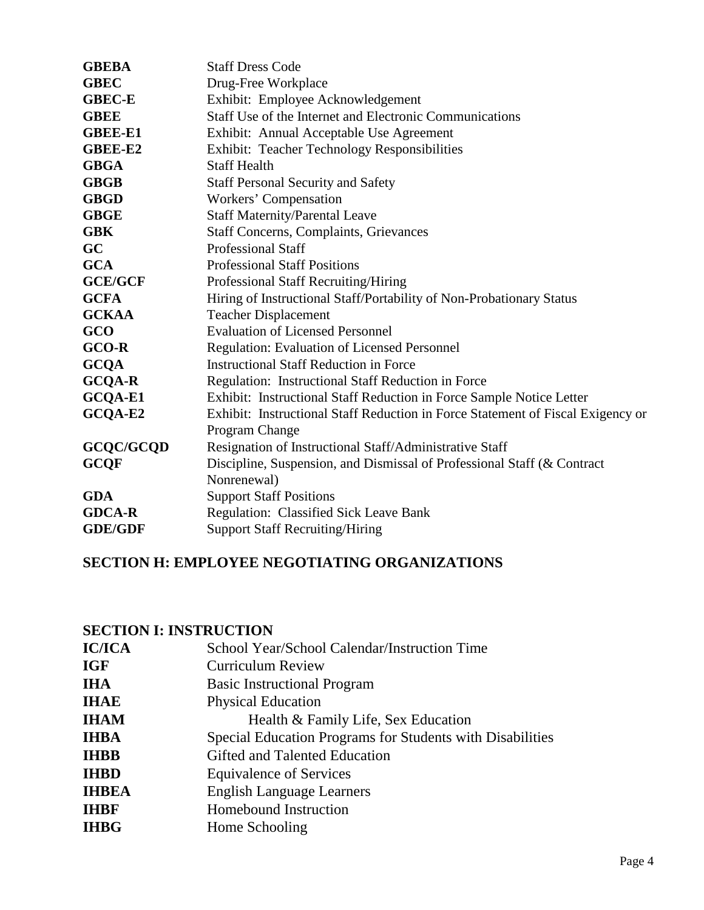| <b>GBEBA</b>   | <b>Staff Dress Code</b>                                                         |
|----------------|---------------------------------------------------------------------------------|
| <b>GBEC</b>    | Drug-Free Workplace                                                             |
| <b>GBEC-E</b>  | Exhibit: Employee Acknowledgement                                               |
| <b>GBEE</b>    | Staff Use of the Internet and Electronic Communications                         |
| <b>GBEE-E1</b> | Exhibit: Annual Acceptable Use Agreement                                        |
| <b>GBEE-E2</b> | Exhibit: Teacher Technology Responsibilities                                    |
| <b>GBGA</b>    | <b>Staff Health</b>                                                             |
| <b>GBGB</b>    | <b>Staff Personal Security and Safety</b>                                       |
| <b>GBGD</b>    | Workers' Compensation                                                           |
| <b>GBGE</b>    | <b>Staff Maternity/Parental Leave</b>                                           |
| <b>GBK</b>     | <b>Staff Concerns, Complaints, Grievances</b>                                   |
| GC             | <b>Professional Staff</b>                                                       |
| <b>GCA</b>     | <b>Professional Staff Positions</b>                                             |
| <b>GCE/GCF</b> | Professional Staff Recruiting/Hiring                                            |
| <b>GCFA</b>    | Hiring of Instructional Staff/Portability of Non-Probationary Status            |
| <b>GCKAA</b>   | <b>Teacher Displacement</b>                                                     |
| GCO            | <b>Evaluation of Licensed Personnel</b>                                         |
| <b>GCO-R</b>   | Regulation: Evaluation of Licensed Personnel                                    |
| <b>GCQA</b>    | <b>Instructional Staff Reduction in Force</b>                                   |
| <b>GCQA-R</b>  | Regulation: Instructional Staff Reduction in Force                              |
| GCQA-E1        | Exhibit: Instructional Staff Reduction in Force Sample Notice Letter            |
| GCQA-E2        | Exhibit: Instructional Staff Reduction in Force Statement of Fiscal Exigency or |
|                | Program Change                                                                  |
| GCQC/GCQD      | Resignation of Instructional Staff/Administrative Staff                         |
| <b>GCQF</b>    | Discipline, Suspension, and Dismissal of Professional Staff (& Contract         |
|                | Nonrenewal)                                                                     |
| <b>GDA</b>     | <b>Support Staff Positions</b>                                                  |
| <b>GDCA-R</b>  | Regulation: Classified Sick Leave Bank                                          |
| <b>GDE/GDF</b> | <b>Support Staff Recruiting/Hiring</b>                                          |

### **SECTION H: EMPLOYEE NEGOTIATING ORGANIZATIONS**

## **SECTION I: INSTRUCTION**

| <b>IC/ICA</b> | School Year/School Calendar/Instruction Time              |
|---------------|-----------------------------------------------------------|
| <b>IGF</b>    | <b>Curriculum Review</b>                                  |
| <b>IHA</b>    | <b>Basic Instructional Program</b>                        |
| <b>IHAE</b>   | <b>Physical Education</b>                                 |
| <b>IHAM</b>   | Health & Family Life, Sex Education                       |
| <b>IHBA</b>   | Special Education Programs for Students with Disabilities |
| <b>IHBB</b>   | Gifted and Talented Education                             |
| <b>IHBD</b>   | <b>Equivalence of Services</b>                            |
| <b>IHBEA</b>  | <b>English Language Learners</b>                          |
| <b>IHBF</b>   | Homebound Instruction                                     |
| <b>IHBG</b>   | Home Schooling                                            |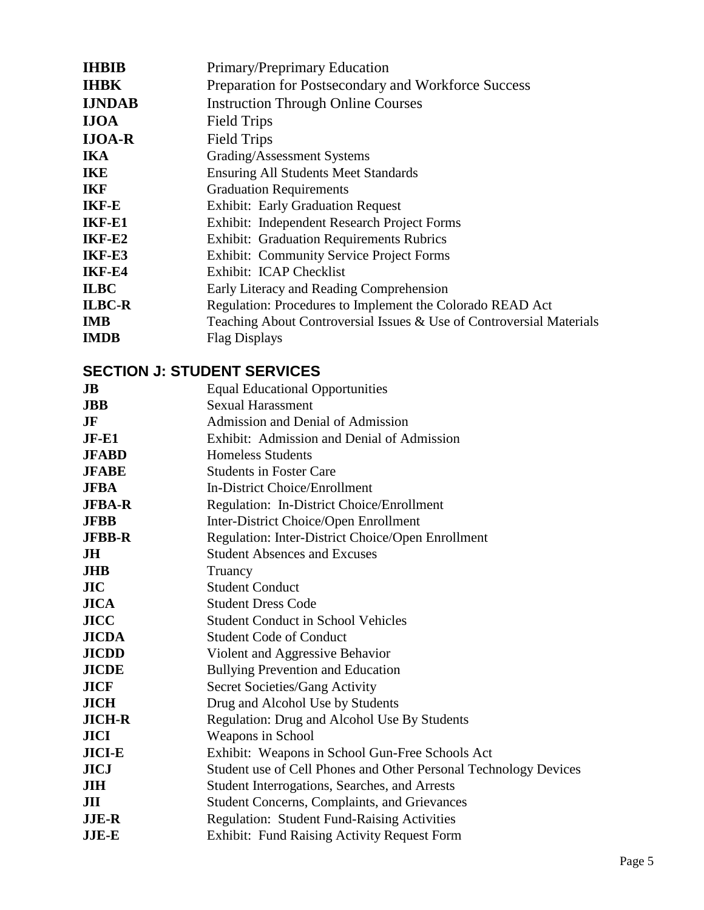| <b>IHBIB</b>  | Primary/Preprimary Education                                         |
|---------------|----------------------------------------------------------------------|
| <b>IHBK</b>   | Preparation for Postsecondary and Workforce Success                  |
| <b>IJNDAB</b> | <b>Instruction Through Online Courses</b>                            |
| <b>IJOA</b>   | <b>Field Trips</b>                                                   |
| <b>IJOA-R</b> | <b>Field Trips</b>                                                   |
| <b>IKA</b>    | Grading/Assessment Systems                                           |
| <b>IKE</b>    | <b>Ensuring All Students Meet Standards</b>                          |
| <b>IKF</b>    | <b>Graduation Requirements</b>                                       |
| <b>IKF-E</b>  | <b>Exhibit: Early Graduation Request</b>                             |
| IKF-E1        | Exhibit: Independent Research Project Forms                          |
| IKF-E2        | <b>Exhibit: Graduation Requirements Rubrics</b>                      |
| IKF-E3        | <b>Exhibit: Community Service Project Forms</b>                      |
| IKF-E4        | Exhibit: ICAP Checklist                                              |
| <b>ILBC</b>   | Early Literacy and Reading Comprehension                             |
| <b>ILBC-R</b> | Regulation: Procedures to Implement the Colorado READ Act            |
| <b>IMB</b>    | Teaching About Controversial Issues & Use of Controversial Materials |
| <b>IMDB</b>   | <b>Flag Displays</b>                                                 |

# **SECTION J: STUDENT SERVICES**

| JB            | <b>Equal Educational Opportunities</b>                           |
|---------------|------------------------------------------------------------------|
| <b>JBB</b>    | <b>Sexual Harassment</b>                                         |
| JF            | Admission and Denial of Admission                                |
| $JF-E1$       | Exhibit: Admission and Denial of Admission                       |
| <b>JFABD</b>  | <b>Homeless Students</b>                                         |
| <b>JFABE</b>  | <b>Students in Foster Care</b>                                   |
| <b>JFBA</b>   | In-District Choice/Enrollment                                    |
| <b>JFBA-R</b> | Regulation: In-District Choice/Enrollment                        |
| <b>JFBB</b>   | Inter-District Choice/Open Enrollment                            |
| <b>JFBB-R</b> | Regulation: Inter-District Choice/Open Enrollment                |
| JH            | <b>Student Absences and Excuses</b>                              |
| <b>JHB</b>    | Truancy                                                          |
| JIC           | <b>Student Conduct</b>                                           |
| <b>JICA</b>   | <b>Student Dress Code</b>                                        |
| <b>JICC</b>   | <b>Student Conduct in School Vehicles</b>                        |
| <b>JICDA</b>  | <b>Student Code of Conduct</b>                                   |
| <b>JICDD</b>  | Violent and Aggressive Behavior                                  |
| <b>JICDE</b>  | <b>Bullying Prevention and Education</b>                         |
| <b>JICF</b>   | Secret Societies/Gang Activity                                   |
| <b>JICH</b>   | Drug and Alcohol Use by Students                                 |
| <b>JICH-R</b> | Regulation: Drug and Alcohol Use By Students                     |
| <b>JICI</b>   | Weapons in School                                                |
| <b>JICI-E</b> | Exhibit: Weapons in School Gun-Free Schools Act                  |
| <b>JICJ</b>   | Student use of Cell Phones and Other Personal Technology Devices |
| <b>JIH</b>    | Student Interrogations, Searches, and Arrests                    |
| JII           | <b>Student Concerns, Complaints, and Grievances</b>              |
| <b>JJE-R</b>  | Regulation: Student Fund-Raising Activities                      |
| <b>JJE-E</b>  | <b>Exhibit: Fund Raising Activity Request Form</b>               |
|               |                                                                  |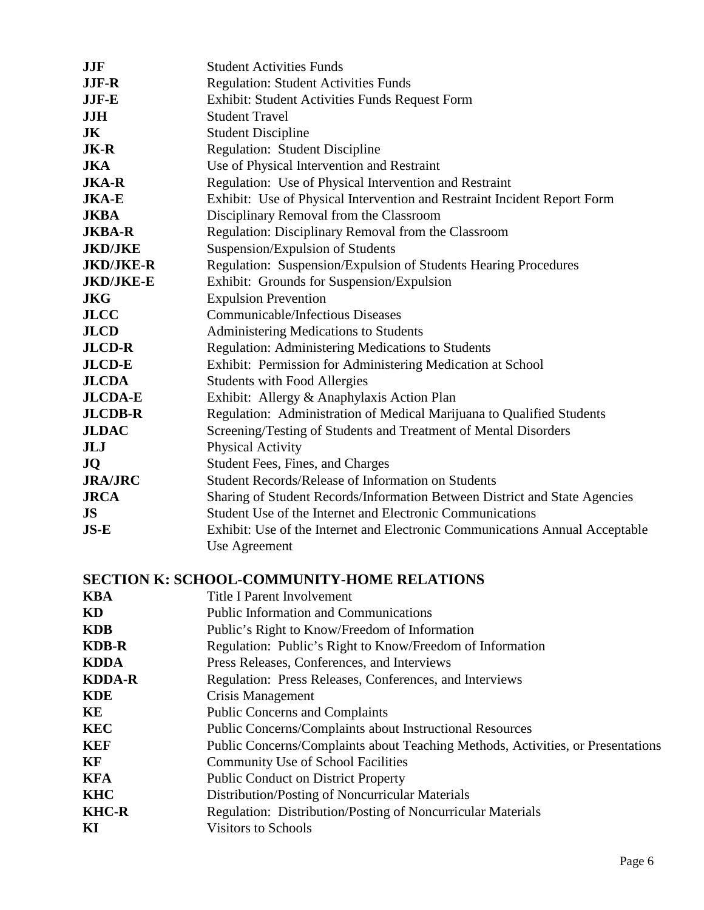| <b>JJF</b>       | <b>Student Activities Funds</b>                                              |
|------------------|------------------------------------------------------------------------------|
| <b>JJF-R</b>     | <b>Regulation: Student Activities Funds</b>                                  |
| JJF-E            | Exhibit: Student Activities Funds Request Form                               |
| <b>JJH</b>       | <b>Student Travel</b>                                                        |
| JK               | <b>Student Discipline</b>                                                    |
| <b>JK-R</b>      | Regulation: Student Discipline                                               |
| <b>JKA</b>       | Use of Physical Intervention and Restraint                                   |
| <b>JKA-R</b>     | Regulation: Use of Physical Intervention and Restraint                       |
| <b>JKA-E</b>     | Exhibit: Use of Physical Intervention and Restraint Incident Report Form     |
| <b>JKBA</b>      | Disciplinary Removal from the Classroom                                      |
| <b>JKBA-R</b>    | Regulation: Disciplinary Removal from the Classroom                          |
| <b>JKD/JKE</b>   | Suspension/Expulsion of Students                                             |
| <b>JKD/JKE-R</b> | Regulation: Suspension/Expulsion of Students Hearing Procedures              |
| <b>JKD/JKE-E</b> | Exhibit: Grounds for Suspension/Expulsion                                    |
| <b>JKG</b>       | <b>Expulsion Prevention</b>                                                  |
| <b>JLCC</b>      | <b>Communicable/Infectious Diseases</b>                                      |
| <b>JLCD</b>      | Administering Medications to Students                                        |
| <b>JLCD-R</b>    | <b>Regulation: Administering Medications to Students</b>                     |
| <b>JLCD-E</b>    | Exhibit: Permission for Administering Medication at School                   |
| <b>JLCDA</b>     | <b>Students with Food Allergies</b>                                          |
| <b>JLCDA-E</b>   | Exhibit: Allergy & Anaphylaxis Action Plan                                   |
| <b>JLCDB-R</b>   | Regulation: Administration of Medical Marijuana to Qualified Students        |
| <b>JLDAC</b>     | Screening/Testing of Students and Treatment of Mental Disorders              |
| JLJ              | <b>Physical Activity</b>                                                     |
| <b>JQ</b>        | Student Fees, Fines, and Charges                                             |
| <b>JRA/JRC</b>   | Student Records/Release of Information on Students                           |
| <b>JRCA</b>      | Sharing of Student Records/Information Between District and State Agencies   |
| <b>JS</b>        | Student Use of the Internet and Electronic Communications                    |
| $JS-E$           | Exhibit: Use of the Internet and Electronic Communications Annual Acceptable |
|                  | Use Agreement                                                                |

# **SECTION K: SCHOOL-COMMUNITY-HOME RELATIONS**

| Title I Parent Involvement                                                      |
|---------------------------------------------------------------------------------|
| <b>Public Information and Communications</b>                                    |
| Public's Right to Know/Freedom of Information                                   |
| Regulation: Public's Right to Know/Freedom of Information                       |
| Press Releases, Conferences, and Interviews                                     |
| Regulation: Press Releases, Conferences, and Interviews                         |
| Crisis Management                                                               |
| <b>Public Concerns and Complaints</b>                                           |
| <b>Public Concerns/Complaints about Instructional Resources</b>                 |
| Public Concerns/Complaints about Teaching Methods, Activities, or Presentations |
| <b>Community Use of School Facilities</b>                                       |
| <b>Public Conduct on District Property</b>                                      |
| Distribution/Posting of Noncurricular Materials                                 |
| <b>Regulation:</b> Distribution/Posting of Noncurricular Materials              |
| <b>Visitors to Schools</b>                                                      |
|                                                                                 |